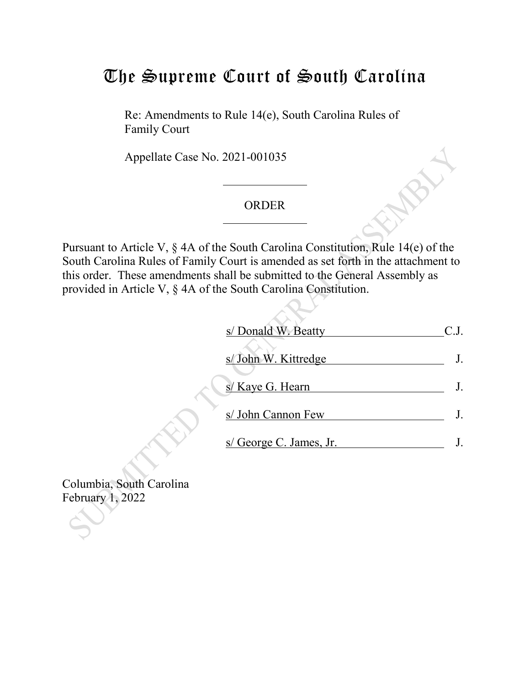## The Supreme Court of South Carolina

Re: Amendments to Rule 14(e), South Carolina Rules of Family Court

Appellate Case No. 2021-001035

## ORDER

Pursuant to Article V, § 4A of the South Carolina Constitution, Rule 14(e) of the South Carolina Rules of Family Court is amended as set forth in the attachment to this order. These amendments shall be submitted to the General Assembly as provided in Article V, § 4A of the South Carolina Constitution.

| s/ Donald W. Beatty     |  |
|-------------------------|--|
| s/John W. Kittredge     |  |
| s/ Kaye G. Hearn        |  |
| s/ John Cannon Few      |  |
| s/ George C. James, Jr. |  |

Columbia, South Carolina February 1, 2022